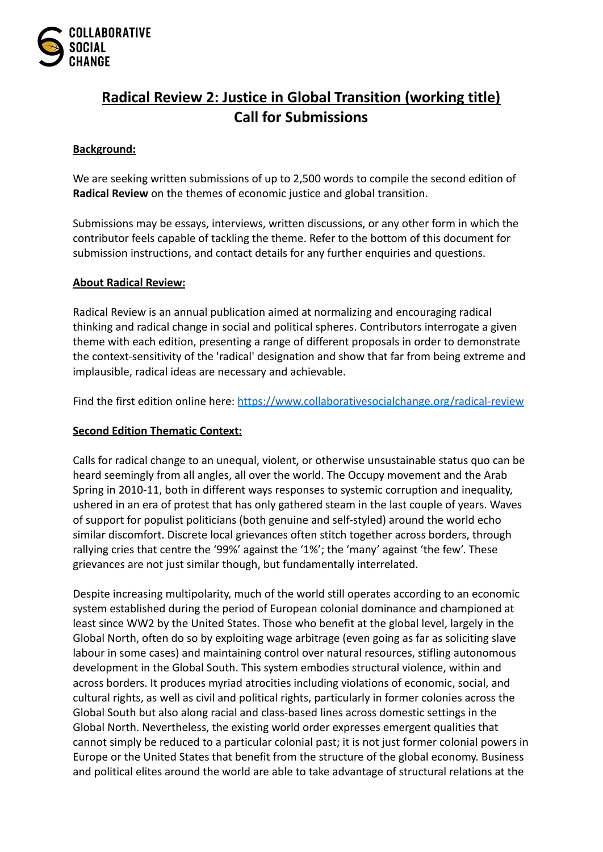

# **Radical Review 2: Justice in Global Transition (working title) Call for Submissions**

# **Background:**

We are seeking written submissions of up to 2,500 words to compile the second edition of **Radical Review** on the themes of economic justice and global transition.

Submissions may be essays, interviews, written discussions, or any other form in which the contributor feels capable of tackling the theme. Refer to the bottom of this document for submission instructions, and contact details for any further enquiries and questions.

#### **About Radical Review:**

Radical Review is an annual publication aimed at normalizing and encouraging radical thinking and radical change in social and political spheres. Contributors interrogate a given theme with each edition, presenting a range of different proposals in order to demonstrate the context-sensitivity of the 'radical' designation and show that far from being extreme and implausible, radical ideas are necessary and achievable.

Find the first edition online here: <https://www.collaborativesocialchange.org/radical-review>

#### **Second Edition Thematic Context:**

Calls for radical change to an unequal, violent, or otherwise unsustainable status quo can be heard seemingly from all angles, all over the world. The Occupy movement and the Arab Spring in 2010-11, both in different ways responses to systemic corruption and inequality, ushered in an era of protest that has only gathered steam in the last couple of years. Waves of support for populist politicians (both genuine and self-styled) around the world echo similar discomfort. Discrete local grievances often stitch together across borders, through rallying cries that centre the '99%' against the '1%'; the 'many' against 'the few'. These grievances are not just similar though, but fundamentally interrelated.

Despite increasing multipolarity, much of the world still operates according to an economic system established during the period of European colonial dominance and championed at least since WW2 by the United States. Those who benefit at the global level, largely in the Global North, often do so by exploiting wage arbitrage (even going as far as soliciting slave labour in some cases) and maintaining control over natural resources, stifling autonomous development in the Global South. This system embodies structural violence, within and across borders. It produces myriad atrocities including violations of economic, social, and cultural rights, as well as civil and political rights, particularly in former colonies across the Global South but also along racial and class-based lines across domestic settings in the Global North. Nevertheless, the existing world order expresses emergent qualities that cannot simply be reduced to a particular colonial past; it is not just former colonial powers in Europe or the United States that benefit from the structure of the global economy. Business and political elites around the world are able to take advantage of structural relations at the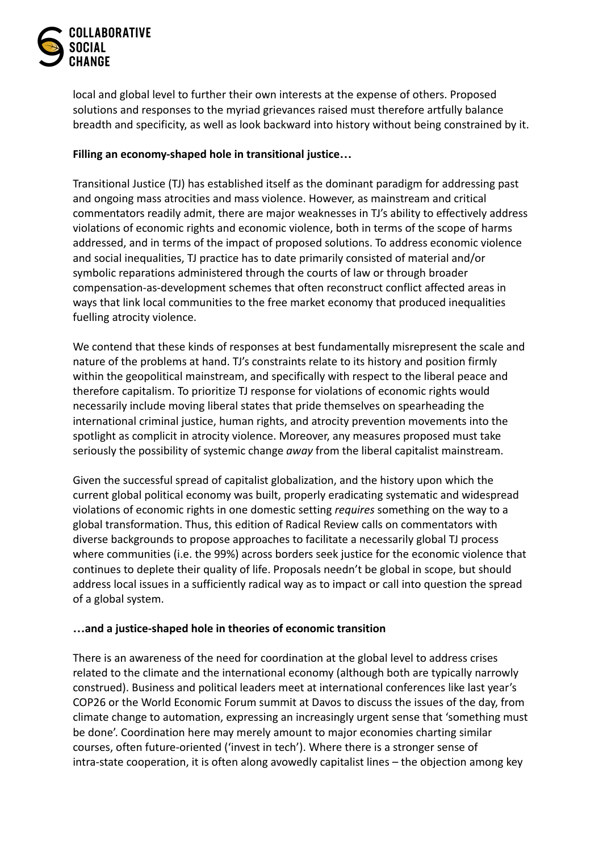

local and global level to further their own interests at the expense of others. Proposed solutions and responses to the myriad grievances raised must therefore artfully balance breadth and specificity, as well as look backward into history without being constrained by it.

## **Filling an economy-shaped hole in transitional justice…**

Transitional Justice (TJ) has established itself as the dominant paradigm for addressing past and ongoing mass atrocities and mass violence. However, as mainstream and critical commentators readily admit, there are major weaknesses in TJ's ability to effectively address violations of economic rights and economic violence, both in terms of the scope of harms addressed, and in terms of the impact of proposed solutions. To address economic violence and social inequalities, TJ practice has to date primarily consisted of material and/or symbolic reparations administered through the courts of law or through broader compensation-as-development schemes that often reconstruct conflict affected areas in ways that link local communities to the free market economy that produced inequalities fuelling atrocity violence.

We contend that these kinds of responses at best fundamentally misrepresent the scale and nature of the problems at hand. TJ's constraints relate to its history and position firmly within the geopolitical mainstream, and specifically with respect to the liberal peace and therefore capitalism. To prioritize TJ response for violations of economic rights would necessarily include moving liberal states that pride themselves on spearheading the international criminal justice, human rights, and atrocity prevention movements into the spotlight as complicit in atrocity violence. Moreover, any measures proposed must take seriously the possibility of systemic change *away* from the liberal capitalist mainstream.

Given the successful spread of capitalist globalization, and the history upon which the current global political economy was built, properly eradicating systematic and widespread violations of economic rights in one domestic setting *requires* something on the way to a global transformation. Thus, this edition of Radical Review calls on commentators with diverse backgrounds to propose approaches to facilitate a necessarily global TJ process where communities (i.e. the 99%) across borders seek justice for the economic violence that continues to deplete their quality of life. Proposals needn't be global in scope, but should address local issues in a sufficiently radical way as to impact or call into question the spread of a global system.

#### **…and a justice-shaped hole in theories of economic transition**

There is an awareness of the need for coordination at the global level to address crises related to the climate and the international economy (although both are typically narrowly construed). Business and political leaders meet at international conferences like last year's COP26 or the World Economic Forum summit at Davos to discuss the issues of the day, from climate change to automation, expressing an increasingly urgent sense that 'something must be done'. Coordination here may merely amount to major economies charting similar courses, often future-oriented ('invest in tech'). Where there is a stronger sense of intra-state cooperation, it is often along avowedly capitalist lines – the objection among key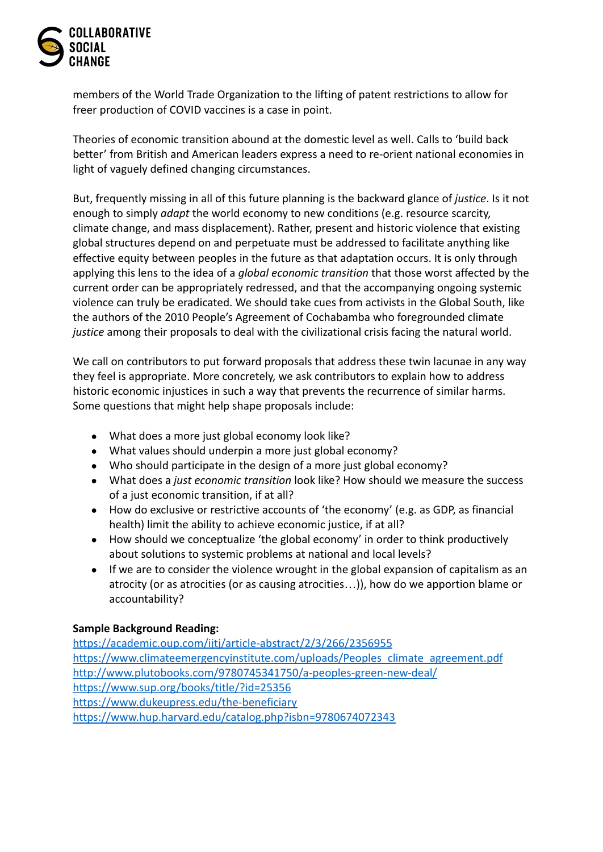

members of the World Trade Organization to the lifting of patent restrictions to allow for freer production of COVID vaccines is a case in point.

Theories of economic transition abound at the domestic level as well. Calls to 'build back better' from British and American leaders express a need to re-orient national economies in light of vaguely defined changing circumstances.

But, frequently missing in all of this future planning is the backward glance of *justice*. Is it not enough to simply *adapt* the world economy to new conditions (e.g. resource scarcity, climate change, and mass displacement). Rather, present and historic violence that existing global structures depend on and perpetuate must be addressed to facilitate anything like effective equity between peoples in the future as that adaptation occurs. It is only through applying this lens to the idea of a *global economic transition* that those worst affected by the current order can be appropriately redressed, and that the accompanying ongoing systemic violence can truly be eradicated. We should take cues from activists in the Global South, like the authors of the 2010 People's Agreement of Cochabamba who foregrounded climate *justice* among their proposals to deal with the civilizational crisis facing the natural world.

We call on contributors to put forward proposals that address these twin lacunae in any way they feel is appropriate. More concretely, we ask contributors to explain how to address historic economic injustices in such a way that prevents the recurrence of similar harms. Some questions that might help shape proposals include:

- What does a more just global economy look like?
- What values should underpin a more just global economy?
- Who should participate in the design of a more just global economy?
- What does a *just economic transition* look like? How should we measure the success of a just economic transition, if at all?
- How do exclusive or restrictive accounts of 'the economy' (e.g. as GDP, as financial health) limit the ability to achieve economic justice, if at all?
- How should we conceptualize 'the global economy' in order to think productively about solutions to systemic problems at national and local levels?
- If we are to consider the violence wrought in the global expansion of capitalism as an atrocity (or as atrocities (or as causing atrocities…)), how do we apportion blame or accountability?

# **Sample Background Reading:**

<https://academic.oup.com/ijtj/article-abstract/2/3/266/2356955> [https://www.climateemergencyinstitute.com/uploads/Peoples\\_climate\\_agreement.pdf](https://www.climateemergencyinstitute.com/uploads/Peoples_climate_agreement.pdf) <http://www.plutobooks.com/9780745341750/a-peoples-green-new-deal/> <https://www.sup.org/books/title/?id=25356> <https://www.dukeupress.edu/the-beneficiary> <https://www.hup.harvard.edu/catalog.php?isbn=9780674072343>